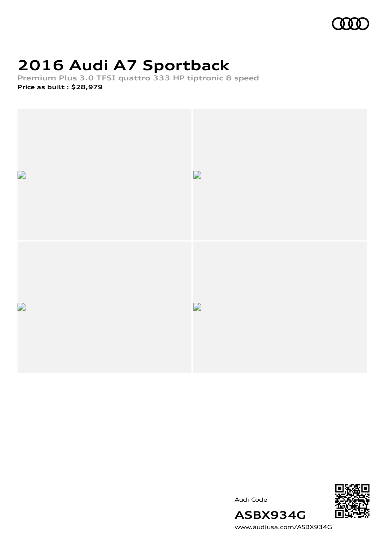

## **2016 Audi A7 Sportback**

**Premium Plus 3.0 TFSI quattro 333 HP tiptronic 8 speed Price as built [:](#page-10-0) \$28,979**



Audi Code



[www.audiusa.com/ASBX934G](https://www.audiusa.com/ASBX934G)

**ASBX934G**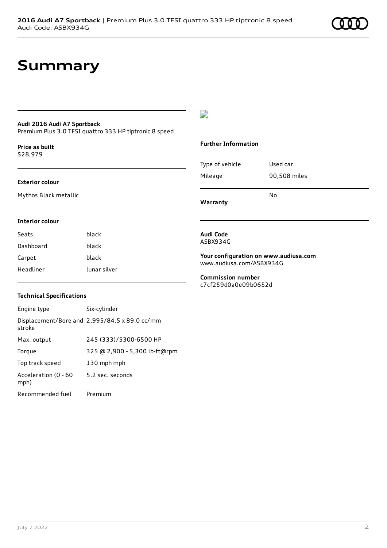## **Summary**

### **Audi 2016 Audi A7 Sportback**

Premium Plus 3.0 TFSI quattro 333 HP tiptronic 8 speed

**Price as buil[t](#page-10-0)** \$28,979

#### **Exterior colour**

Mythos Black metallic

### $\overline{\phantom{a}}$

### **Further Information**

| Warranty        |              |
|-----------------|--------------|
|                 | N٥           |
| Mileage         | 90,508 miles |
| Type of vehicle | Used car     |

### **Interior colour**

| Seats     | black        |
|-----------|--------------|
| Dashboard | black        |
| Carpet    | black        |
| Headliner | lunar silver |

### **Technical Specifications**

| Engine type                  | Six-cylinder                                  |
|------------------------------|-----------------------------------------------|
| stroke                       | Displacement/Bore and 2,995/84.5 x 89.0 cc/mm |
| Max. output                  | 245 (333)/5300-6500 HP                        |
| Torque                       | 325 @ 2,900 - 5,300 lb-ft@rpm                 |
| Top track speed              | 130 mph mph                                   |
| Acceleration (0 - 60<br>mph) | 5.2 sec. seconds                              |
| Recommended fuel             | Premium                                       |

#### **Audi Code** ASBX934G

**Your configuration on www.audiusa.com** [www.audiusa.com/ASBX934G](https://www.audiusa.com/ASBX934G)

**Commission number** c7cf259d0a0e09b0652d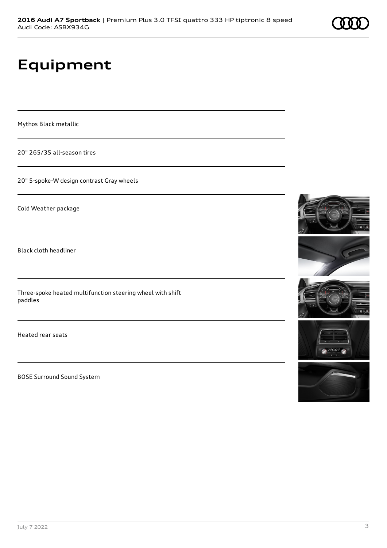## **Equipment**

Mythos Black metallic

20" 265/35 all-season tires

20" 5-spoke-W design contrast Gray wheels

Cold Weather package

Black cloth headliner

Three-spoke heated multifunction steering wheel with shift paddles

Heated rear seats

BOSE Surround Sound System









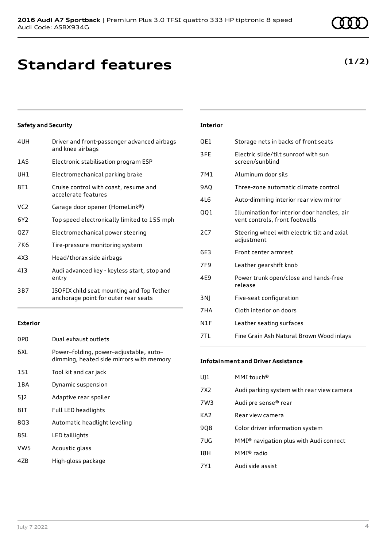## **Standard features**

## **Safety and Security**

| 4UH | Driver and front-passenger advanced airbags<br>and knee airbags                   |
|-----|-----------------------------------------------------------------------------------|
| 1AS | Electronic stabilisation program ESP                                              |
| UH1 | Electromechanical parking brake                                                   |
| 8T1 | Cruise control with coast, resume and<br>accelerate features                      |
| VC2 | Garage door opener (HomeLink®)                                                    |
| 6Y2 | Top speed electronically limited to 155 mph                                       |
| QZ7 | Electromechanical power steering                                                  |
| 7K6 | Tire-pressure monitoring system                                                   |
| 4X3 | Head/thorax side airbags                                                          |
| 413 | Audi advanced key - keyless start, stop and<br>entry                              |
| 3B7 | ISOFIX child seat mounting and Top Tether<br>anchorage point for outer rear seats |
|     |                                                                                   |

### **Exterior**

| 0PO             | Dual exhaust outlets                                                               |
|-----------------|------------------------------------------------------------------------------------|
| 6XL             | Power-folding, power-adjustable, auto-<br>dimming, heated side mirrors with memory |
| 1S1             | Tool kit and car jack                                                              |
| 1 B A           | Dynamic suspension                                                                 |
| 512             | Adaptive rear spoiler                                                              |
| 8IT             | Full LED headlights                                                                |
| 803             | Automatic headlight leveling                                                       |
| 8SL             | LED taillights                                                                     |
| VW <sub>5</sub> | Acoustic glass                                                                     |
| 4ZB             | High-gloss package                                                                 |

## **Interior**

| QE1   | Storage nets in backs of front seats                                          |
|-------|-------------------------------------------------------------------------------|
| 3FE   | Electric slide/tilt sunroof with sun<br>screen/sunblind                       |
| 7M1   | Aluminum door sils                                                            |
| 9AQ   | Three-zone automatic climate control                                          |
| 416   | Auto-dimming interior rear view mirror                                        |
| 001   | Illumination for interior door handles, air<br>vent controls, front footwells |
| 2C7   | Steering wheel with electric tilt and axial<br>adjustment                     |
| 6E3   | Front center armrest                                                          |
| 7F9   | Leather gearshift knob                                                        |
| 4E9   | Power trunk open/close and hands-free<br>release                              |
| 3 N J | Five-seat configuration                                                       |
| 7HA   | Cloth interior on doors                                                       |
| N1F   | Leather seating surfaces                                                      |
| 7TI.  | Fine Grain Ash Natural Brown Wood inlays                                      |

### **Infotainment and Driver Assistance**

| UJ1             | MMI touch <sup>®</sup>                             |
|-----------------|----------------------------------------------------|
| 7X2             | Audi parking system with rear view camera          |
| 7W3             | Audi pre sense® rear                               |
| KA <sub>2</sub> | Rear view camera                                   |
| 9Q8             | Color driver information system                    |
| 7UG             | MMI <sup>®</sup> navigation plus with Audi connect |
| I8H             | MMI® radio                                         |
| 7Y1             | Audi side assist                                   |
|                 |                                                    |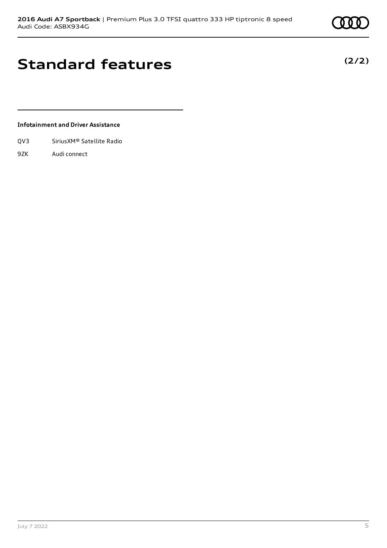## **Standard features**

**Infotainment and Driver Assistance**

- QV3 SiriusXM® Satellite Radio
- 9ZK Audi connect

**(2/2)**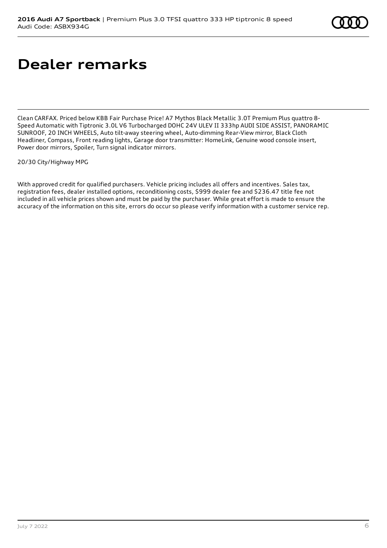## **Dealer remarks**

Clean CARFAX. Priced below KBB Fair Purchase Price! A7 Mythos Black Metallic 3.0T Premium Plus quattro 8- Speed Automatic with Tiptronic 3.0L V6 Turbocharged DOHC 24V ULEV II 333hp AUDI SIDE ASSIST, PANORAMIC SUNROOF, 20 INCH WHEELS, Auto tilt-away steering wheel, Auto-dimming Rear-View mirror, Black Cloth Headliner, Compass, Front reading lights, Garage door transmitter: HomeLink, Genuine wood console insert, Power door mirrors, Spoiler, Turn signal indicator mirrors.

20/30 City/Highway MPG

With approved credit for qualified purchasers. Vehicle pricing includes all offers and incentives. Sales tax, registration fees, dealer installed options, reconditioning costs, \$999 dealer fee and \$236.47 title fee not included in all vehicle prices shown and must be paid by the purchaser. While great effort is made to ensure the accuracy of the information on this site, errors do occur so please verify information with a customer service rep.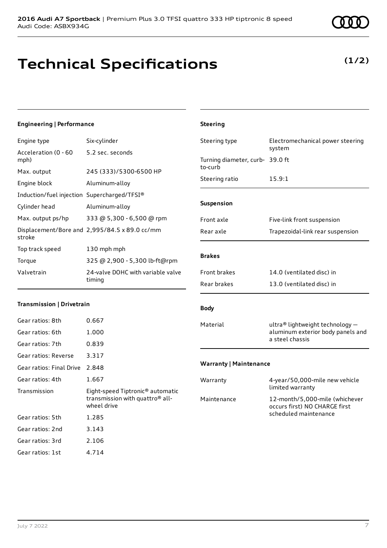

## **Technical Specifications**

## **Engineering | Performance**

| Engine type                                 | Six-cylinder                                  |
|---------------------------------------------|-----------------------------------------------|
| Acceleration (0 - 60<br>mph)                | 5.2 sec. seconds                              |
| Max. output                                 | 245 (333)/5300-6500 HP                        |
| Engine block                                | Aluminum-alloy                                |
| Induction/fuel injection Supercharged/TFSI® |                                               |
| Cylinder head                               | Aluminum-alloy                                |
| Max. output ps/hp                           | 333 @ 5,300 - 6,500 @ rpm                     |
| stroke                                      | Displacement/Bore and 2,995/84.5 x 89.0 cc/mm |
| Top track speed                             | 130 mph mph                                   |
| Torque                                      | 325 @ 2,900 - 5,300 lb-ft@rpm                 |
| Valvetrain                                  | 24-valve DOHC with variable valve<br>timing   |

### **Transmission | Drivetrain**

| Gear ratios: 8th         | 0.667                                                                                                      |
|--------------------------|------------------------------------------------------------------------------------------------------------|
| Gear ratios: 6th         | 1.000                                                                                                      |
| Gear ratios: 7th         | 0.839                                                                                                      |
| Gear ratios: Reverse     | 3.317                                                                                                      |
| Gear ratios: Final Drive | 2.848                                                                                                      |
| Gear ratios: 4th         | 1.667                                                                                                      |
|                          |                                                                                                            |
| Transmission             | Eight-speed Tiptronic <sup>®</sup> automatic<br>transmission with quattro <sup>®</sup> all-<br>wheel drive |
| Gear ratios: 5th         | 1.285                                                                                                      |
| Gear ratios: 2nd         | 3.143                                                                                                      |
| Gear ratios: 3rd         | 2.106                                                                                                      |

## **Steering** Steering type Electromechanical power steering system Turning diameter, curb-39.0 ft to-curb Steering ratio 15.9:1

#### **Suspension**

| Front axle | Five-link front suspension       |
|------------|----------------------------------|
| Rear axle  | Trapezoidal-link rear suspension |

### **Brakes**

| <b>Front brakes</b> | 14.0 (ventilated disc) in |
|---------------------|---------------------------|
| Rear brakes         | 13.0 (ventilated disc) in |

### **Body**

Material ultra® lightweight technology aluminum exterior body panels and a steel chassis

### **Warranty | Maintenance**

| Warranty    | 4-year/50,000-mile new vehicle<br>limited warranty                                       |
|-------------|------------------------------------------------------------------------------------------|
| Maintenance | 12-month/5,000-mile (whichever<br>occurs first) NO CHARGE first<br>scheduled maintenance |

## **(1/2)**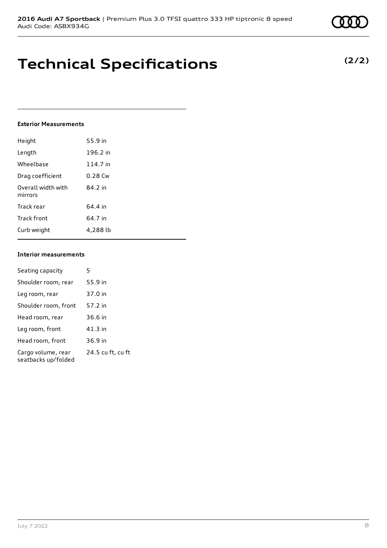## **Technical Specifications**

### **Exterior Measurements**

| Height                        | 55.9 in   |
|-------------------------------|-----------|
| Length                        | 196.2 in  |
| Wheelbase                     | 114.7 in  |
| Drag coefficient              | $0.28$ Cw |
| Overall width with<br>mirrors | 84.2 in   |
| Track rear                    | 64.4 in   |
| Track front                   | 64.7 in   |
| Curb weight                   | 4.288 lb  |

### **Interior measurements**

| Seating capacity                          | 5                 |
|-------------------------------------------|-------------------|
| Shoulder room, rear                       | 55.9 in           |
| Leg room, rear                            | 37.0 in           |
| Shoulder room, front                      | 57.2 in           |
| Head room, rear                           | 36.6 in           |
| Leg room, front                           | 41.3 in           |
| Head room, front                          | 36.9 in           |
| Cargo volume, rear<br>seatbacks up/folded | 24.5 cu ft, cu ft |

## **(2/2)**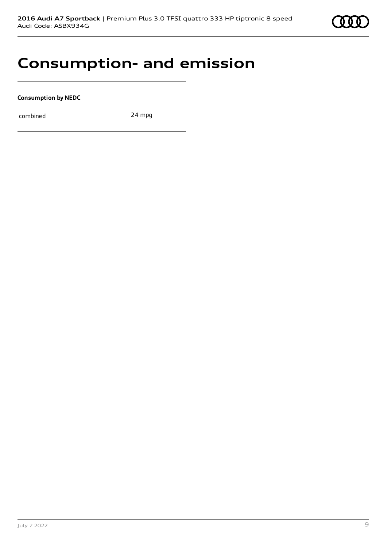

## **Consumption- and emission**

**Consumption by NEDC**

combined 24 mpg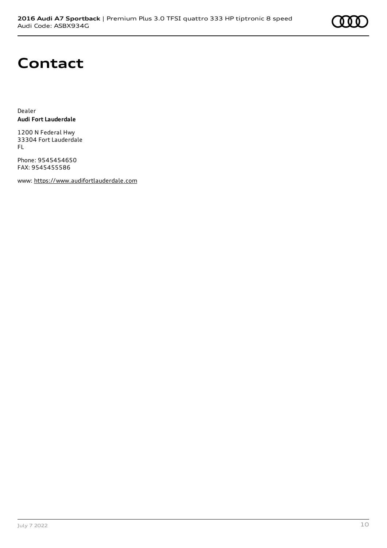

## **Contact**

Dealer **Audi Fort Lauderdale**

1200 N Federal Hwy 33304 Fort Lauderdale FL

Phone: 9545454650 FAX: 9545455586

www: [https://www.audifortlauderdale.com](https://www.audifortlauderdale.com/)